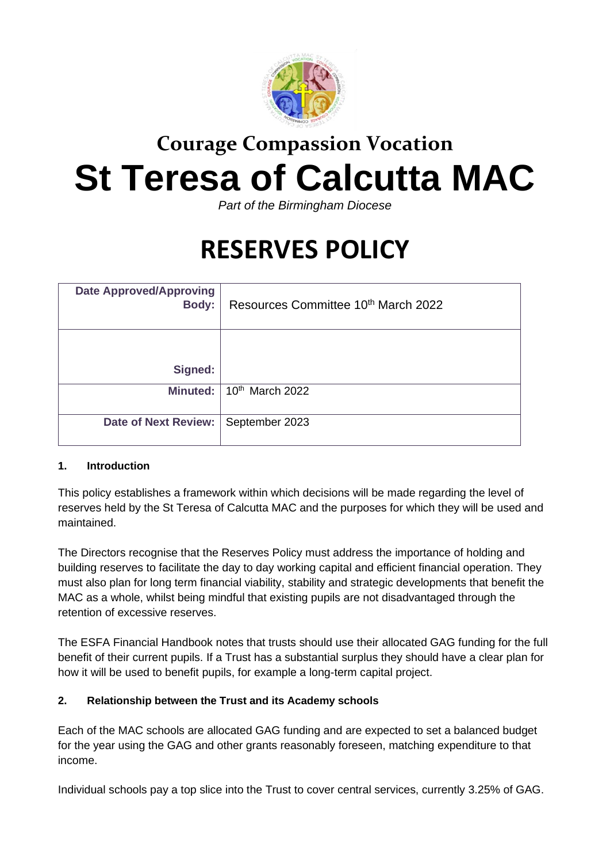

# **Courage Compassion Vocation St Teresa of Calcutta MAC**

*Part of the Birmingham Diocese*

## **RESERVES POLICY**

| <b>Date Approved/Approving</b><br><b>Body:</b> | Resources Committee 10th March 2022 |
|------------------------------------------------|-------------------------------------|
|                                                |                                     |
| Signed:                                        |                                     |
| Minuted:                                       | $10th$ March 2022                   |
| <b>Date of Next Review:</b>                    | September 2023                      |

#### **1. Introduction**

This policy establishes a framework within which decisions will be made regarding the level of reserves held by the St Teresa of Calcutta MAC and the purposes for which they will be used and maintained.

The Directors recognise that the Reserves Policy must address the importance of holding and building reserves to facilitate the day to day working capital and efficient financial operation. They must also plan for long term financial viability, stability and strategic developments that benefit the MAC as a whole, whilst being mindful that existing pupils are not disadvantaged through the retention of excessive reserves.

The ESFA Financial Handbook notes that trusts should use their allocated GAG funding for the full benefit of their current pupils. If a Trust has a substantial surplus they should have a clear plan for how it will be used to benefit pupils, for example a long-term capital project.

#### **2. Relationship between the Trust and its Academy schools**

Each of the MAC schools are allocated GAG funding and are expected to set a balanced budget for the year using the GAG and other grants reasonably foreseen, matching expenditure to that income.

Individual schools pay a top slice into the Trust to cover central services, currently 3.25% of GAG.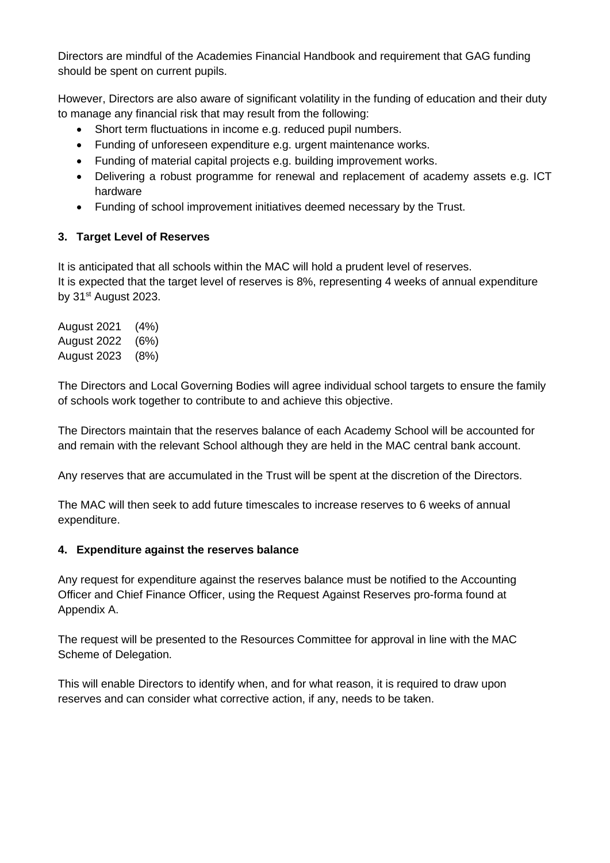Directors are mindful of the Academies Financial Handbook and requirement that GAG funding should be spent on current pupils.

However, Directors are also aware of significant volatility in the funding of education and their duty to manage any financial risk that may result from the following:

- Short term fluctuations in income e.g. reduced pupil numbers.
- Funding of unforeseen expenditure e.g. urgent maintenance works.
- Funding of material capital projects e.g. building improvement works.
- Delivering a robust programme for renewal and replacement of academy assets e.g. ICT hardware
- Funding of school improvement initiatives deemed necessary by the Trust.

#### **3. Target Level of Reserves**

It is anticipated that all schools within the MAC will hold a prudent level of reserves. It is expected that the target level of reserves is 8%, representing 4 weeks of annual expenditure by 31<sup>st</sup> August 2023.

August 2021 (4%) August 2022 (6%) August 2023 (8%)

The Directors and Local Governing Bodies will agree individual school targets to ensure the family of schools work together to contribute to and achieve this objective.

The Directors maintain that the reserves balance of each Academy School will be accounted for and remain with the relevant School although they are held in the MAC central bank account.

Any reserves that are accumulated in the Trust will be spent at the discretion of the Directors.

The MAC will then seek to add future timescales to increase reserves to 6 weeks of annual expenditure.

#### **4. Expenditure against the reserves balance**

Any request for expenditure against the reserves balance must be notified to the Accounting Officer and Chief Finance Officer, using the Request Against Reserves pro-forma found at Appendix A.

The request will be presented to the Resources Committee for approval in line with the MAC Scheme of Delegation.

This will enable Directors to identify when, and for what reason, it is required to draw upon reserves and can consider what corrective action, if any, needs to be taken.